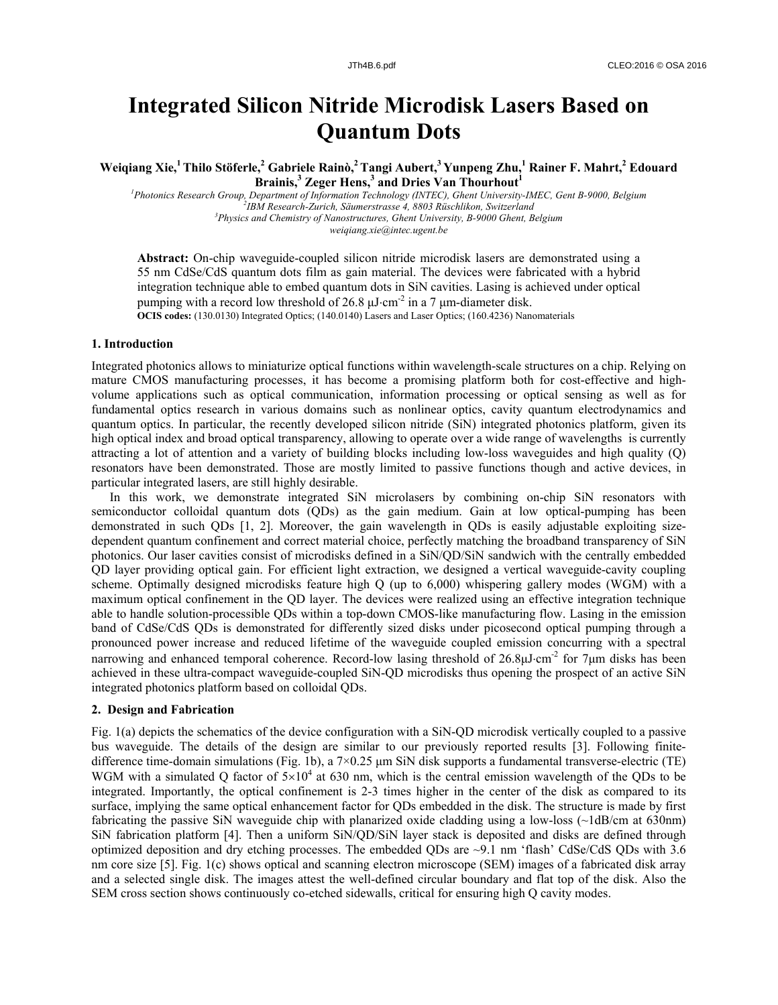# **Integrated Silicon Nitride Microdisk Lasers Based on Quantum Dots**

 $\bf{W}$ eiqiang Xie,<sup>1</sup> Thilo Stöferle,<sup>2</sup> Gabriele Rainò,<sup>2</sup> Tangi Aubert,<sup>3</sup> Yunpeng Zhu,<sup>1</sup> Rainer F. Mahrt,<sup>2</sup> Edouard **Brainis,<sup>3</sup> Zeger Hens,<sup>3</sup> and Dries Van Thourhout<sup>1</sup>**

<sup>1</sup> Photonics Research Group, Department of Information Technology (INTEC), Ghent University-IMEC, Gent B-9000, Belgium <sup>2</sup> *IBM Research-Zurich, Säumerstrasse 4, 8803 Rüschlikon, Switzerland 3 Physics and Chemistry of Nanostructures, Ghent University, B-9000 Ghent, Belgium weiqiang.xie@intec.ugent.be* 

**Abstract:** On-chip waveguide-coupled silicon nitride microdisk lasers are demonstrated using a 55 nm CdSe/CdS quantum dots film as gain material. The devices were fabricated with a hybrid integration technique able to embed quantum dots in SiN cavities. Lasing is achieved under optical pumping with a record low threshold of 26.8  $\mu$ J·cm<sup>-2</sup> in a 7  $\mu$ m-diameter disk. **OCIS codes:** (130.0130) Integrated Optics; (140.0140) Lasers and Laser Optics; (160.4236) Nanomaterials

### **1. Introduction**

Integrated photonics allows to miniaturize optical functions within wavelength-scale structures on a chip. Relying on mature CMOS manufacturing processes, it has become a promising platform both for cost-effective and highvolume applications such as optical communication, information processing or optical sensing as well as for fundamental optics research in various domains such as nonlinear optics, cavity quantum electrodynamics and quantum optics. In particular, the recently developed silicon nitride (SiN) integrated photonics platform, given its high optical index and broad optical transparency, allowing to operate over a wide range of wavelengths is currently attracting a lot of attention and a variety of building blocks including low-loss waveguides and high quality (Q) resonators have been demonstrated. Those are mostly limited to passive functions though and active devices, in particular integrated lasers, are still highly desirable.

In this work, we demonstrate integrated SiN microlasers by combining on-chip SiN resonators with semiconductor colloidal quantum dots (QDs) as the gain medium. Gain at low optical-pumping has been demonstrated in such QDs [1, 2]. Moreover, the gain wavelength in QDs is easily adjustable exploiting sizedependent quantum confinement and correct material choice, perfectly matching the broadband transparency of SiN photonics. Our laser cavities consist of microdisks defined in a SiN/QD/SiN sandwich with the centrally embedded QD layer providing optical gain. For efficient light extraction, we designed a vertical waveguide-cavity coupling scheme. Optimally designed microdisks feature high Q (up to 6,000) whispering gallery modes (WGM) with a maximum optical confinement in the QD layer. The devices were realized using an effective integration technique able to handle solution-processible QDs within a top-down CMOS-like manufacturing flow. Lasing in the emission band of CdSe/CdS QDs is demonstrated for differently sized disks under picosecond optical pumping through a pronounced power increase and reduced lifetime of the waveguide coupled emission concurring with a spectral narrowing and enhanced temporal coherence. Record-low lasing threshold of 26.8 $\mu$ J·cm<sup>-2</sup> for 7 $\mu$ m disks has been achieved in these ultra-compact waveguide-coupled SiN-QD microdisks thus opening the prospect of an active SiN integrated photonics platform based on colloidal QDs.

## **2. Design and Fabrication**

Fig. 1(a) depicts the schematics of the device configuration with a SiN-QD microdisk vertically coupled to a passive bus waveguide. The details of the design are similar to our previously reported results [3]. Following finitedifference time-domain simulations (Fig. 1b), a 7×0.25 μm SiN disk supports a fundamental transverse-electric (TE) WGM with a simulated Q factor of  $5\times10^4$  at 630 nm, which is the central emission wavelength of the QDs to be integrated. Importantly, the optical confinement is 2-3 times higher in the center of the disk as compared to its surface, implying the same optical enhancement factor for QDs embedded in the disk. The structure is made by first fabricating the passive SiN waveguide chip with planarized oxide cladding using a low-loss (~1dB/cm at 630nm) SiN fabrication platform [4]. Then a uniform SiN/QD/SiN layer stack is deposited and disks are defined through optimized deposition and dry etching processes. The embedded QDs are ~9.1 nm 'flash' CdSe/CdS QDs with 3.6 nm core size [5]. Fig. 1(c) shows optical and scanning electron microscope (SEM) images of a fabricated disk array and a selected single disk. The images attest the well-defined circular boundary and flat top of the disk. Also the SEM cross section shows continuously co-etched sidewalls, critical for ensuring high Q cavity modes.